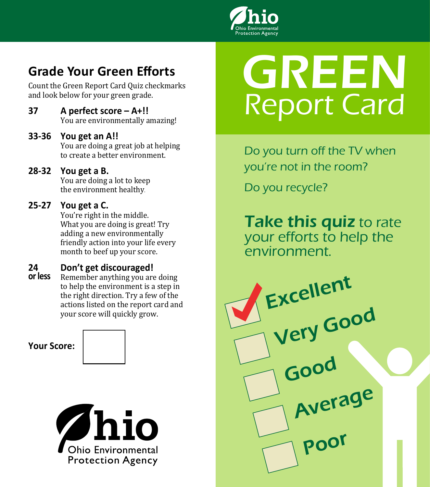

# **Grade Your Green Efforts**

Count the Green Report Card Quiz checkmarks and look below for your green grade.

**37 A perfect score – A+!!**  You are environmentally amazing!

#### **33-36 You get an A!!**

You are doing a great job at helping to create a better environment.

**28-32 You get a B.** 

You are doing a lot to keep the environment healthy.

### **25-27 You get a C.**

You're right in the middle. What you are doing is great! Try adding a new environmentally friendly action into your life every month to beef up your score.

### **24 Don't get discouraged!**

Remember anything you are doing to help the environment is a step in the right direction. Try a few of the actions listed on the report card and your score will quickly grow. **or less**

**Your Score:**



# GREEN Report Card

Do you turn off the TV when you're not in the room?

Do you recycle?

**Take this quiz to rate** your efforts to help the environment.